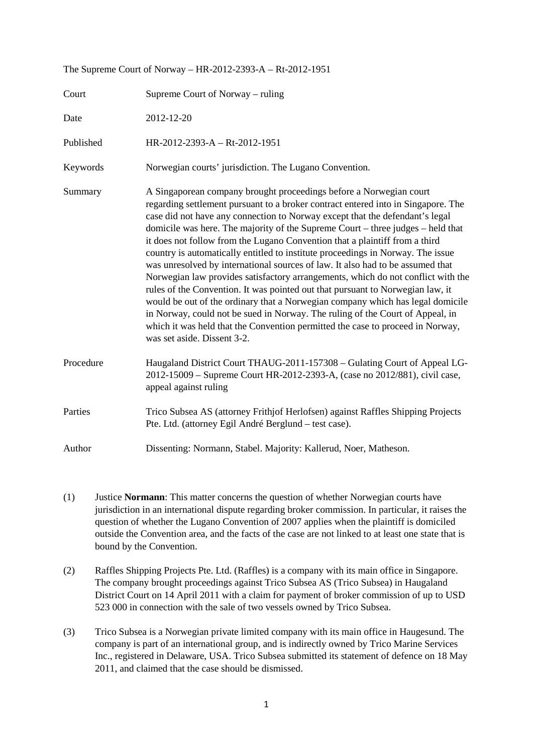| The Supreme Court of Norway – $\text{IR-}2012\text{-}2393\text{-} \text{A}$ – $\text{R1-}2012\text{-}1931$ |                                                                                                                                                                                                                                                                                                                                                                                                                                                                                                                                                                                                                                                                                                                                                                                                                                                                                                                                                                                                                                          |
|------------------------------------------------------------------------------------------------------------|------------------------------------------------------------------------------------------------------------------------------------------------------------------------------------------------------------------------------------------------------------------------------------------------------------------------------------------------------------------------------------------------------------------------------------------------------------------------------------------------------------------------------------------------------------------------------------------------------------------------------------------------------------------------------------------------------------------------------------------------------------------------------------------------------------------------------------------------------------------------------------------------------------------------------------------------------------------------------------------------------------------------------------------|
| Court                                                                                                      | Supreme Court of Norway – ruling                                                                                                                                                                                                                                                                                                                                                                                                                                                                                                                                                                                                                                                                                                                                                                                                                                                                                                                                                                                                         |
| Date                                                                                                       | 2012-12-20                                                                                                                                                                                                                                                                                                                                                                                                                                                                                                                                                                                                                                                                                                                                                                                                                                                                                                                                                                                                                               |
| Published                                                                                                  | HR-2012-2393-A - Rt-2012-1951                                                                                                                                                                                                                                                                                                                                                                                                                                                                                                                                                                                                                                                                                                                                                                                                                                                                                                                                                                                                            |
| Keywords                                                                                                   | Norwegian courts' jurisdiction. The Lugano Convention.                                                                                                                                                                                                                                                                                                                                                                                                                                                                                                                                                                                                                                                                                                                                                                                                                                                                                                                                                                                   |
| Summary                                                                                                    | A Singaporean company brought proceedings before a Norwegian court<br>regarding settlement pursuant to a broker contract entered into in Singapore. The<br>case did not have any connection to Norway except that the defendant's legal<br>domicile was here. The majority of the Supreme Court – three judges – held that<br>it does not follow from the Lugano Convention that a plaintiff from a third<br>country is automatically entitled to institute proceedings in Norway. The issue<br>was unresolved by international sources of law. It also had to be assumed that<br>Norwegian law provides satisfactory arrangements, which do not conflict with the<br>rules of the Convention. It was pointed out that pursuant to Norwegian law, it<br>would be out of the ordinary that a Norwegian company which has legal domicile<br>in Norway, could not be sued in Norway. The ruling of the Court of Appeal, in<br>which it was held that the Convention permitted the case to proceed in Norway,<br>was set aside. Dissent 3-2. |
| Procedure                                                                                                  | Haugaland District Court THAUG-2011-157308 - Gulating Court of Appeal LG-<br>2012-15009 - Supreme Court HR-2012-2393-A, (case no 2012/881), civil case,<br>appeal against ruling                                                                                                                                                                                                                                                                                                                                                                                                                                                                                                                                                                                                                                                                                                                                                                                                                                                         |
| Parties                                                                                                    | Trico Subsea AS (attorney Frithjof Herlofsen) against Raffles Shipping Projects<br>Pte. Ltd. (attorney Egil André Berglund - test case).                                                                                                                                                                                                                                                                                                                                                                                                                                                                                                                                                                                                                                                                                                                                                                                                                                                                                                 |
| Author                                                                                                     | Dissenting: Normann, Stabel. Majority: Kallerud, Noer, Matheson.                                                                                                                                                                                                                                                                                                                                                                                                                                                                                                                                                                                                                                                                                                                                                                                                                                                                                                                                                                         |

The Supreme Court of Norway – HR-2012-2393-A – Rt-2012-1951

- (1) Justice **Normann**: This matter concerns the question of whether Norwegian courts have jurisdiction in an international dispute regarding broker commission. In particular, it raises the question of whether the Lugano Convention of 2007 applies when the plaintiff is domiciled outside the Convention area, and the facts of the case are not linked to at least one state that is bound by the Convention.
- (2) Raffles Shipping Projects Pte. Ltd. (Raffles) is a company with its main office in Singapore. The company brought proceedings against Trico Subsea AS (Trico Subsea) in Haugaland District Court on 14 April 2011 with a claim for payment of broker commission of up to USD 523 000 in connection with the sale of two vessels owned by Trico Subsea.
- (3) Trico Subsea is a Norwegian private limited company with its main office in Haugesund. The company is part of an international group, and is indirectly owned by Trico Marine Services Inc., registered in Delaware, USA. Trico Subsea submitted its statement of defence on 18 May 2011, and claimed that the case should be dismissed.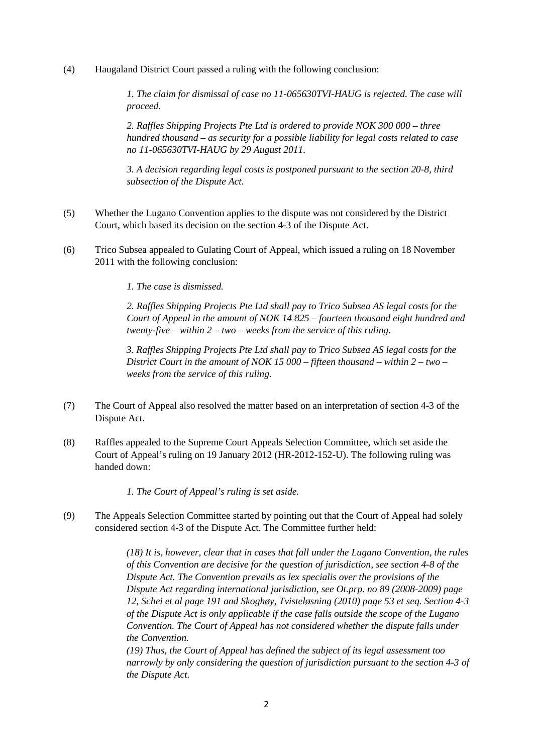(4) Haugaland District Court passed a ruling with the following conclusion:

*1. The claim for dismissal of case no 11-065630TVI-HAUG is rejected. The case will proceed.* 

*2. Raffles Shipping Projects Pte Ltd is ordered to provide NOK 300 000 – three hundred thousand – as security for a possible liability for legal costs related to case no 11-065630TVI-HAUG by 29 August 2011.* 

*3. A decision regarding legal costs is postponed pursuant to the section 20-8, third subsection of the Dispute Act.* 

- (5) Whether the Lugano Convention applies to the dispute was not considered by the District Court, which based its decision on the section 4-3 of the Dispute Act.
- (6) Trico Subsea appealed to Gulating Court of Appeal, which issued a ruling on 18 November 2011 with the following conclusion:

*1. The case is dismissed.* 

*2. Raffles Shipping Projects Pte Ltd shall pay to Trico Subsea AS legal costs for the Court of Appeal in the amount of NOK 14 825 – fourteen thousand eight hundred and twenty-five – within 2 – two – weeks from the service of this ruling.* 

*3. Raffles Shipping Projects Pte Ltd shall pay to Trico Subsea AS legal costs for the District Court in the amount of NOK 15 000 – fifteen thousand – within 2 – two – weeks from the service of this ruling.* 

- (7) The Court of Appeal also resolved the matter based on an interpretation of section 4-3 of the Dispute Act.
- (8) Raffles appealed to the Supreme Court Appeals Selection Committee, which set aside the Court of Appeal's ruling on 19 January 2012 (HR-2012-152-U). The following ruling was handed down:

*1. The Court of Appeal's ruling is set aside.* 

(9) The Appeals Selection Committee started by pointing out that the Court of Appeal had solely considered section 4-3 of the Dispute Act. The Committee further held:

> *(18) It is, however, clear that in cases that fall under the Lugano Convention, the rules of this Convention are decisive for the question of jurisdiction, see section 4-8 of the Dispute Act. The Convention prevails as lex specialis over the provisions of the Dispute Act regarding international jurisdiction, see Ot.prp. no 89 (2008-2009) page 12, Schei et al page 191 and Skoghøy, Tvisteløsning (2010) page 53 et seq. Section 4-3 of the Dispute Act is only applicable if the case falls outside the scope of the Lugano Convention. The Court of Appeal has not considered whether the dispute falls under the Convention.*

> *(19) Thus, the Court of Appeal has defined the subject of its legal assessment too narrowly by only considering the question of jurisdiction pursuant to the section 4-3 of the Dispute Act.*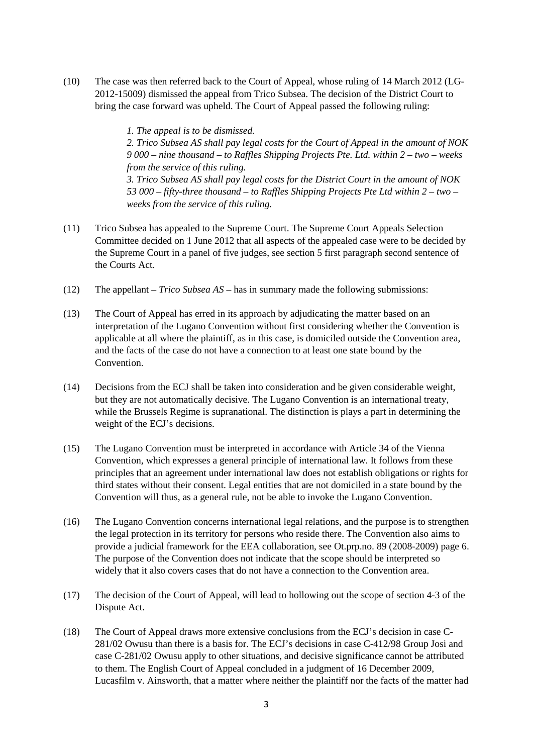(10) The case was then referred back to the Court of Appeal, whose ruling of 14 March 2012 (LG-2012-15009) dismissed the appeal from Trico Subsea. The decision of the District Court to bring the case forward was upheld. The Court of Appeal passed the following ruling:

> *1. The appeal is to be dismissed. 2. Trico Subsea AS shall pay legal costs for the Court of Appeal in the amount of NOK 9 000 – nine thousand – to Raffles Shipping Projects Pte. Ltd. within 2 – two – weeks from the service of this ruling. 3. Trico Subsea AS shall pay legal costs for the District Court in the amount of NOK 53 000 – fifty-three thousand – to Raffles Shipping Projects Pte Ltd within 2 – two – weeks from the service of this ruling.*

- (11) Trico Subsea has appealed to the Supreme Court. The Supreme Court Appeals Selection Committee decided on 1 June 2012 that all aspects of the appealed case were to be decided by the Supreme Court in a panel of five judges, see section 5 first paragraph second sentence of the Courts Act.
- (12) The appellant *Trico Subsea AS* has in summary made the following submissions:
- (13) The Court of Appeal has erred in its approach by adjudicating the matter based on an interpretation of the Lugano Convention without first considering whether the Convention is applicable at all where the plaintiff, as in this case, is domiciled outside the Convention area, and the facts of the case do not have a connection to at least one state bound by the **Convention**
- (14) Decisions from the ECJ shall be taken into consideration and be given considerable weight, but they are not automatically decisive. The Lugano Convention is an international treaty, while the Brussels Regime is supranational. The distinction is plays a part in determining the weight of the ECJ's decisions.
- (15) The Lugano Convention must be interpreted in accordance with Article 34 of the Vienna Convention, which expresses a general principle of international law. It follows from these principles that an agreement under international law does not establish obligations or rights for third states without their consent. Legal entities that are not domiciled in a state bound by the Convention will thus, as a general rule, not be able to invoke the Lugano Convention.
- (16) The Lugano Convention concerns international legal relations, and the purpose is to strengthen the legal protection in its territory for persons who reside there. The Convention also aims to provide a judicial framework for the EEA collaboration, see Ot.prp.no. 89 (2008-2009) page 6. The purpose of the Convention does not indicate that the scope should be interpreted so widely that it also covers cases that do not have a connection to the Convention area.
- (17) The decision of the Court of Appeal, will lead to hollowing out the scope of section 4-3 of the Dispute Act.
- (18) The Court of Appeal draws more extensive conclusions from the ECJ's decision in case C-281/02 Owusu than there is a basis for. The ECJ's decisions in case C-412/98 Group Josi and case C-281/02 Owusu apply to other situations, and decisive significance cannot be attributed to them. The English Court of Appeal concluded in a judgment of 16 December 2009, Lucasfilm v. Ainsworth, that a matter where neither the plaintiff nor the facts of the matter had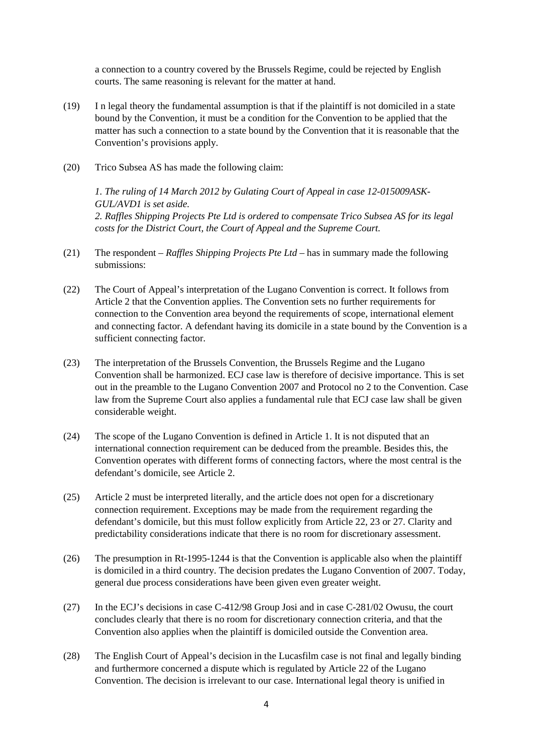a connection to a country covered by the Brussels Regime, could be rejected by English courts. The same reasoning is relevant for the matter at hand.

- (19) I n legal theory the fundamental assumption is that if the plaintiff is not domiciled in a state bound by the Convention, it must be a condition for the Convention to be applied that the matter has such a connection to a state bound by the Convention that it is reasonable that the Convention's provisions apply.
- (20) Trico Subsea AS has made the following claim:

*1. The ruling of 14 March 2012 by Gulating Court of Appeal in case 12-015009ASK-GUL/AVD1 is set aside. 2. Raffles Shipping Projects Pte Ltd is ordered to compensate Trico Subsea AS for its legal costs for the District Court, the Court of Appeal and the Supreme Court.* 

- (21) The respondent *Raffles Shipping Projects Pte Ltd* has in summary made the following submissions:
- (22) The Court of Appeal's interpretation of the Lugano Convention is correct. It follows from Article 2 that the Convention applies. The Convention sets no further requirements for connection to the Convention area beyond the requirements of scope, international element and connecting factor. A defendant having its domicile in a state bound by the Convention is a sufficient connecting factor.
- (23) The interpretation of the Brussels Convention, the Brussels Regime and the Lugano Convention shall be harmonized. ECJ case law is therefore of decisive importance. This is set out in the preamble to the Lugano Convention 2007 and Protocol no 2 to the Convention. Case law from the Supreme Court also applies a fundamental rule that ECJ case law shall be given considerable weight.
- (24) The scope of the Lugano Convention is defined in Article 1. It is not disputed that an international connection requirement can be deduced from the preamble. Besides this, the Convention operates with different forms of connecting factors, where the most central is the defendant's domicile, see Article 2.
- (25) Article 2 must be interpreted literally, and the article does not open for a discretionary connection requirement. Exceptions may be made from the requirement regarding the defendant's domicile, but this must follow explicitly from Article 22, 23 or 27. Clarity and predictability considerations indicate that there is no room for discretionary assessment.
- (26) The presumption in Rt-1995-1244 is that the Convention is applicable also when the plaintiff is domiciled in a third country. The decision predates the Lugano Convention of 2007. Today, general due process considerations have been given even greater weight.
- (27) In the ECJ's decisions in case C-412/98 Group Josi and in case C-281/02 Owusu, the court concludes clearly that there is no room for discretionary connection criteria, and that the Convention also applies when the plaintiff is domiciled outside the Convention area.
- (28) The English Court of Appeal's decision in the Lucasfilm case is not final and legally binding and furthermore concerned a dispute which is regulated by Article 22 of the Lugano Convention. The decision is irrelevant to our case. International legal theory is unified in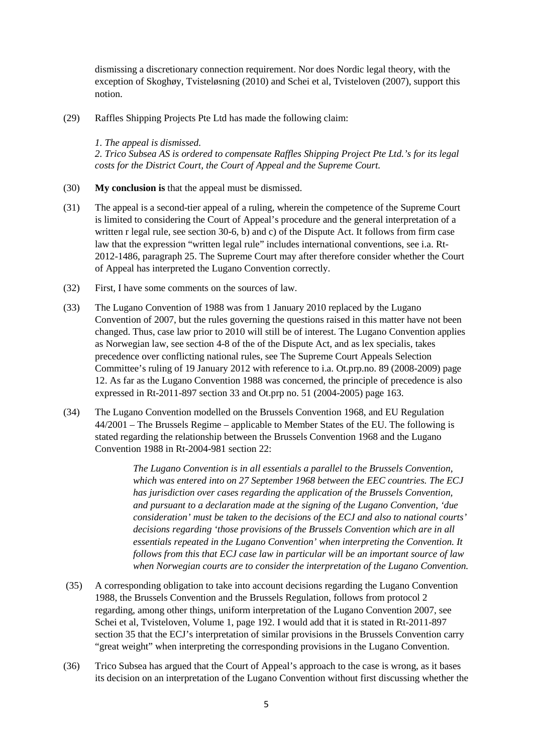dismissing a discretionary connection requirement. Nor does Nordic legal theory, with the exception of Skoghøy, Tvisteløsning (2010) and Schei et al, Tvisteloven (2007), support this notion.

(29) Raffles Shipping Projects Pte Ltd has made the following claim:

*1. The appeal is dismissed.* 

*2. Trico Subsea AS is ordered to compensate Raffles Shipping Project Pte Ltd.'s for its legal costs for the District Court, the Court of Appeal and the Supreme Court.* 

- (30) **My conclusion is** that the appeal must be dismissed.
- (31) The appeal is a second-tier appeal of a ruling, wherein the competence of the Supreme Court is limited to considering the Court of Appeal's procedure and the general interpretation of a written r legal rule, see section 30-6, b) and c) of the Dispute Act. It follows from firm case law that the expression "written legal rule" includes international conventions, see i.a. Rt-2012-1486, paragraph 25. The Supreme Court may after therefore consider whether the Court of Appeal has interpreted the Lugano Convention correctly.
- (32) First, I have some comments on the sources of law.
- (33) The Lugano Convention of 1988 was from 1 January 2010 replaced by the Lugano Convention of 2007, but the rules governing the questions raised in this matter have not been changed. Thus, case law prior to 2010 will still be of interest. The Lugano Convention applies as Norwegian law, see section 4-8 of the of the Dispute Act, and as lex specialis, takes precedence over conflicting national rules, see The Supreme Court Appeals Selection Committee's ruling of 19 January 2012 with reference to i.a. Ot.prp.no. 89 (2008-2009) page 12. As far as the Lugano Convention 1988 was concerned, the principle of precedence is also expressed in Rt-2011-897 section 33 and Ot.prp no. 51 (2004-2005) page 163.
- (34) The Lugano Convention modelled on the Brussels Convention 1968, and EU Regulation 44/2001 – The Brussels Regime – applicable to Member States of the EU. The following is stated regarding the relationship between the Brussels Convention 1968 and the Lugano Convention 1988 in Rt-2004-981 section 22:

*The Lugano Convention is in all essentials a parallel to the Brussels Convention, which was entered into on 27 September 1968 between the EEC countries. The ECJ has jurisdiction over cases regarding the application of the Brussels Convention, and pursuant to a declaration made at the signing of the Lugano Convention, 'due consideration' must be taken to the decisions of the ECJ and also to national courts' decisions regarding 'those provisions of the Brussels Convention which are in all essentials repeated in the Lugano Convention' when interpreting the Convention. It follows from this that ECJ case law in particular will be an important source of law when Norwegian courts are to consider the interpretation of the Lugano Convention.* 

- (35) A corresponding obligation to take into account decisions regarding the Lugano Convention 1988, the Brussels Convention and the Brussels Regulation, follows from protocol 2 regarding, among other things, uniform interpretation of the Lugano Convention 2007, see Schei et al, Tvisteloven, Volume 1, page 192. I would add that it is stated in Rt-2011-897 section 35 that the ECJ's interpretation of similar provisions in the Brussels Convention carry "great weight" when interpreting the corresponding provisions in the Lugano Convention.
- (36) Trico Subsea has argued that the Court of Appeal's approach to the case is wrong, as it bases its decision on an interpretation of the Lugano Convention without first discussing whether the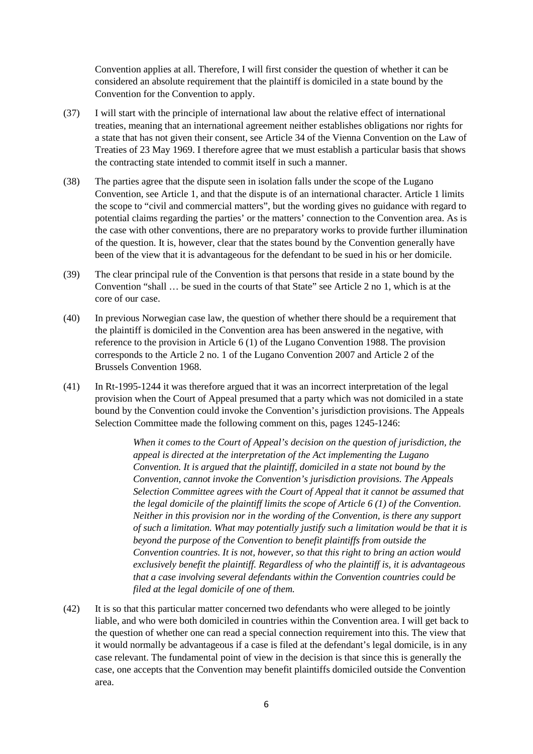Convention applies at all. Therefore, I will first consider the question of whether it can be considered an absolute requirement that the plaintiff is domiciled in a state bound by the Convention for the Convention to apply.

- (37) I will start with the principle of international law about the relative effect of international treaties, meaning that an international agreement neither establishes obligations nor rights for a state that has not given their consent, see Article 34 of the Vienna Convention on the Law of Treaties of 23 May 1969. I therefore agree that we must establish a particular basis that shows the contracting state intended to commit itself in such a manner.
- (38) The parties agree that the dispute seen in isolation falls under the scope of the Lugano Convention, see Article 1, and that the dispute is of an international character. Article 1 limits the scope to "civil and commercial matters", but the wording gives no guidance with regard to potential claims regarding the parties' or the matters' connection to the Convention area. As is the case with other conventions, there are no preparatory works to provide further illumination of the question. It is, however, clear that the states bound by the Convention generally have been of the view that it is advantageous for the defendant to be sued in his or her domicile.
- (39) The clear principal rule of the Convention is that persons that reside in a state bound by the Convention "shall … be sued in the courts of that State" see Article 2 no 1, which is at the core of our case.
- (40) In previous Norwegian case law, the question of whether there should be a requirement that the plaintiff is domiciled in the Convention area has been answered in the negative, with reference to the provision in Article 6 (1) of the Lugano Convention 1988. The provision corresponds to the Article 2 no. 1 of the Lugano Convention 2007 and Article 2 of the Brussels Convention 1968.
- (41) In Rt-1995-1244 it was therefore argued that it was an incorrect interpretation of the legal provision when the Court of Appeal presumed that a party which was not domiciled in a state bound by the Convention could invoke the Convention's jurisdiction provisions. The Appeals Selection Committee made the following comment on this, pages 1245-1246:

*When it comes to the Court of Appeal's decision on the question of jurisdiction, the appeal is directed at the interpretation of the Act implementing the Lugano Convention. It is argued that the plaintiff, domiciled in a state not bound by the Convention, cannot invoke the Convention's jurisdiction provisions. The Appeals Selection Committee agrees with the Court of Appeal that it cannot be assumed that the legal domicile of the plaintiff limits the scope of Article 6 (1) of the Convention. Neither in this provision nor in the wording of the Convention, is there any support of such a limitation. What may potentially justify such a limitation would be that it is beyond the purpose of the Convention to benefit plaintiffs from outside the Convention countries. It is not, however, so that this right to bring an action would exclusively benefit the plaintiff. Regardless of who the plaintiff is, it is advantageous that a case involving several defendants within the Convention countries could be filed at the legal domicile of one of them.* 

(42) It is so that this particular matter concerned two defendants who were alleged to be jointly liable, and who were both domiciled in countries within the Convention area. I will get back to the question of whether one can read a special connection requirement into this. The view that it would normally be advantageous if a case is filed at the defendant's legal domicile, is in any case relevant. The fundamental point of view in the decision is that since this is generally the case, one accepts that the Convention may benefit plaintiffs domiciled outside the Convention area.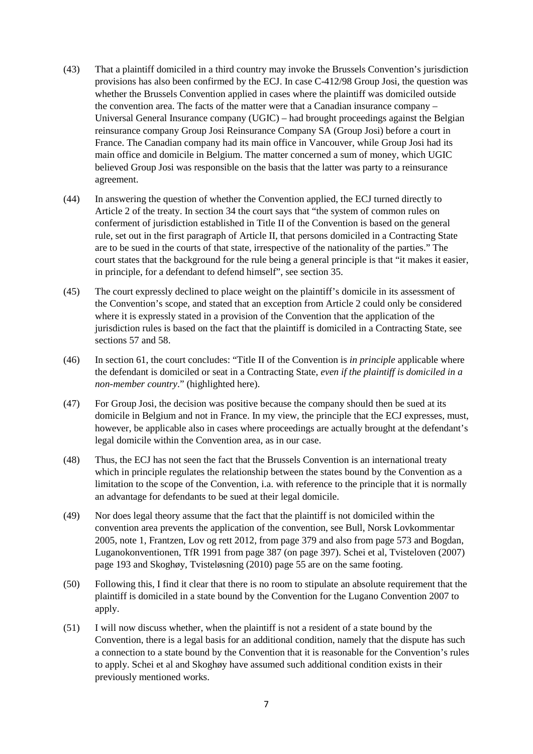- (43) That a plaintiff domiciled in a third country may invoke the Brussels Convention's jurisdiction provisions has also been confirmed by the ECJ. In case C-412/98 Group Josi, the question was whether the Brussels Convention applied in cases where the plaintiff was domiciled outside the convention area. The facts of the matter were that a Canadian insurance company – Universal General Insurance company (UGIC) – had brought proceedings against the Belgian reinsurance company Group Josi Reinsurance Company SA (Group Josi) before a court in France. The Canadian company had its main office in Vancouver, while Group Josi had its main office and domicile in Belgium. The matter concerned a sum of money, which UGIC believed Group Josi was responsible on the basis that the latter was party to a reinsurance agreement.
- (44) In answering the question of whether the Convention applied, the ECJ turned directly to Article 2 of the treaty. In section 34 the court says that "the system of common rules on conferment of jurisdiction established in Title II of the Convention is based on the general rule, set out in the first paragraph of Article II, that persons domiciled in a Contracting State are to be sued in the courts of that state, irrespective of the nationality of the parties." The court states that the background for the rule being a general principle is that "it makes it easier, in principle, for a defendant to defend himself", see section 35.
- (45) The court expressly declined to place weight on the plaintiff's domicile in its assessment of the Convention's scope, and stated that an exception from Article 2 could only be considered where it is expressly stated in a provision of the Convention that the application of the jurisdiction rules is based on the fact that the plaintiff is domiciled in a Contracting State, see sections 57 and 58.
- (46) In section 61, the court concludes: "Title II of the Convention is *in principle* applicable where the defendant is domiciled or seat in a Contracting State, *even if the plaintiff is domiciled in a non-member country*." (highlighted here).
- (47) For Group Josi, the decision was positive because the company should then be sued at its domicile in Belgium and not in France. In my view, the principle that the ECJ expresses, must, however, be applicable also in cases where proceedings are actually brought at the defendant's legal domicile within the Convention area, as in our case.
- (48) Thus, the ECJ has not seen the fact that the Brussels Convention is an international treaty which in principle regulates the relationship between the states bound by the Convention as a limitation to the scope of the Convention, i.a. with reference to the principle that it is normally an advantage for defendants to be sued at their legal domicile.
- (49) Nor does legal theory assume that the fact that the plaintiff is not domiciled within the convention area prevents the application of the convention, see Bull, Norsk Lovkommentar 2005, note 1, Frantzen, Lov og rett 2012, from page 379 and also from page 573 and Bogdan, Luganokonventionen, TfR 1991 from page 387 (on page 397). Schei et al, Tvisteloven (2007) page 193 and Skoghøy, Tvisteløsning (2010) page 55 are on the same footing.
- (50) Following this, I find it clear that there is no room to stipulate an absolute requirement that the plaintiff is domiciled in a state bound by the Convention for the Lugano Convention 2007 to apply.
- (51) I will now discuss whether, when the plaintiff is not a resident of a state bound by the Convention, there is a legal basis for an additional condition, namely that the dispute has such a connection to a state bound by the Convention that it is reasonable for the Convention's rules to apply. Schei et al and Skoghøy have assumed such additional condition exists in their previously mentioned works.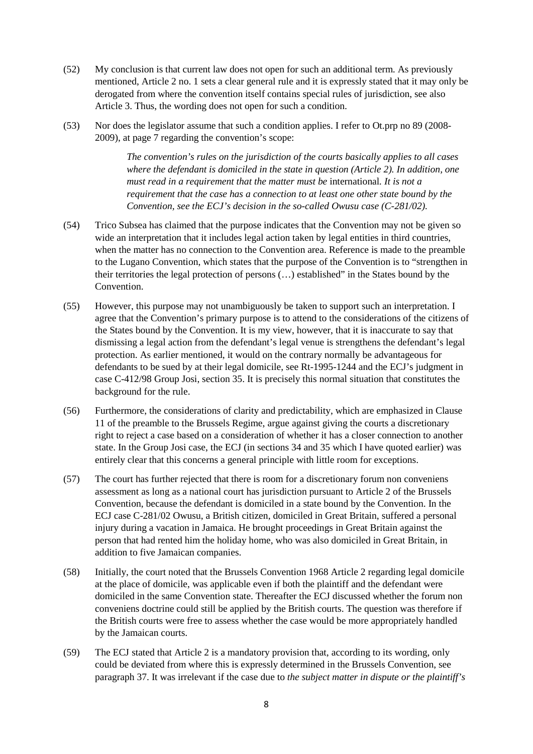- (52) My conclusion is that current law does not open for such an additional term. As previously mentioned, Article 2 no. 1 sets a clear general rule and it is expressly stated that it may only be derogated from where the convention itself contains special rules of jurisdiction, see also Article 3. Thus, the wording does not open for such a condition.
- (53) Nor does the legislator assume that such a condition applies. I refer to Ot.prp no 89 (2008- 2009), at page 7 regarding the convention's scope:

*The convention's rules on the jurisdiction of the courts basically applies to all cases where the defendant is domiciled in the state in question (Article 2). In addition, one must read in a requirement that the matter must be* international*. It is not a requirement that the case has a connection to at least one other state bound by the Convention, see the ECJ's decision in the so-called Owusu case (C-281/02).* 

- (54) Trico Subsea has claimed that the purpose indicates that the Convention may not be given so wide an interpretation that it includes legal action taken by legal entities in third countries, when the matter has no connection to the Convention area. Reference is made to the preamble to the Lugano Convention, which states that the purpose of the Convention is to "strengthen in their territories the legal protection of persons (…) established" in the States bound by the Convention.
- (55) However, this purpose may not unambiguously be taken to support such an interpretation. I agree that the Convention's primary purpose is to attend to the considerations of the citizens of the States bound by the Convention. It is my view, however, that it is inaccurate to say that dismissing a legal action from the defendant's legal venue is strengthens the defendant's legal protection. As earlier mentioned, it would on the contrary normally be advantageous for defendants to be sued by at their legal domicile, see Rt-1995-1244 and the ECJ's judgment in case C-412/98 Group Josi, section 35. It is precisely this normal situation that constitutes the background for the rule.
- (56) Furthermore, the considerations of clarity and predictability, which are emphasized in Clause 11 of the preamble to the Brussels Regime, argue against giving the courts a discretionary right to reject a case based on a consideration of whether it has a closer connection to another state. In the Group Josi case, the ECJ (in sections 34 and 35 which I have quoted earlier) was entirely clear that this concerns a general principle with little room for exceptions.
- (57) The court has further rejected that there is room for a discretionary forum non conveniens assessment as long as a national court has jurisdiction pursuant to Article 2 of the Brussels Convention, because the defendant is domiciled in a state bound by the Convention. In the ECJ case C-281/02 Owusu, a British citizen, domiciled in Great Britain, suffered a personal injury during a vacation in Jamaica. He brought proceedings in Great Britain against the person that had rented him the holiday home, who was also domiciled in Great Britain, in addition to five Jamaican companies.
- (58) Initially, the court noted that the Brussels Convention 1968 Article 2 regarding legal domicile at the place of domicile, was applicable even if both the plaintiff and the defendant were domiciled in the same Convention state. Thereafter the ECJ discussed whether the forum non conveniens doctrine could still be applied by the British courts. The question was therefore if the British courts were free to assess whether the case would be more appropriately handled by the Jamaican courts.
- (59) The ECJ stated that Article 2 is a mandatory provision that, according to its wording, only could be deviated from where this is expressly determined in the Brussels Convention, see paragraph 37. It was irrelevant if the case due to *the subject matter in dispute or the plaintiff's*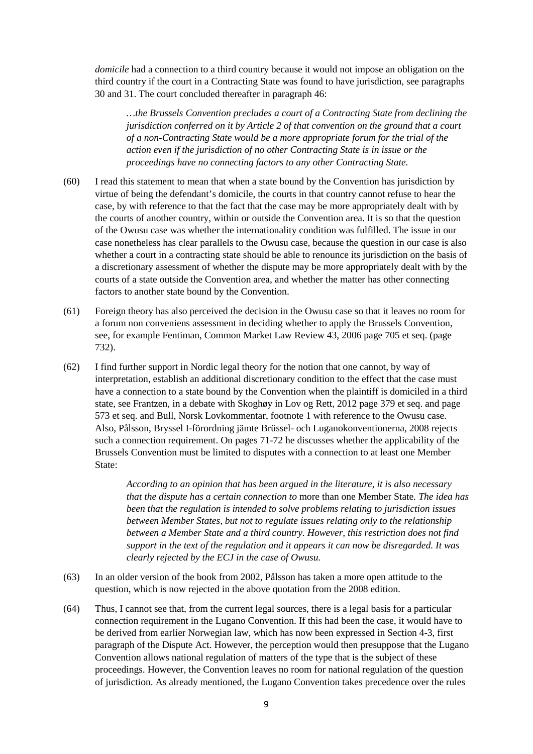*domicile* had a connection to a third country because it would not impose an obligation on the third country if the court in a Contracting State was found to have jurisdiction, see paragraphs 30 and 31. The court concluded thereafter in paragraph 46:

*…the Brussels Convention precludes a court of a Contracting State from declining the jurisdiction conferred on it by Article 2 of that convention on the ground that a court of a non-Contracting State would be a more appropriate forum for the trial of the action even if the jurisdiction of no other Contracting State is in issue or the proceedings have no connecting factors to any other Contracting State.* 

- (60) I read this statement to mean that when a state bound by the Convention has jurisdiction by virtue of being the defendant's domicile, the courts in that country cannot refuse to hear the case, by with reference to that the fact that the case may be more appropriately dealt with by the courts of another country, within or outside the Convention area. It is so that the question of the Owusu case was whether the internationality condition was fulfilled. The issue in our case nonetheless has clear parallels to the Owusu case, because the question in our case is also whether a court in a contracting state should be able to renounce its jurisdiction on the basis of a discretionary assessment of whether the dispute may be more appropriately dealt with by the courts of a state outside the Convention area, and whether the matter has other connecting factors to another state bound by the Convention.
- (61) Foreign theory has also perceived the decision in the Owusu case so that it leaves no room for a forum non conveniens assessment in deciding whether to apply the Brussels Convention, see, for example Fentiman, Common Market Law Review 43, 2006 page 705 et seq. (page 732).
- (62) I find further support in Nordic legal theory for the notion that one cannot, by way of interpretation, establish an additional discretionary condition to the effect that the case must have a connection to a state bound by the Convention when the plaintiff is domiciled in a third state, see Frantzen, in a debate with Skoghøy in Lov og Rett, 2012 page 379 et seq. and page 573 et seq. and Bull, Norsk Lovkommentar, footnote 1 with reference to the Owusu case. Also, Pålsson, Bryssel I-förordning jämte Brüssel- och Luganokonventionerna, 2008 rejects such a connection requirement. On pages 71-72 he discusses whether the applicability of the Brussels Convention must be limited to disputes with a connection to at least one Member State:

*According to an opinion that has been argued in the literature, it is also necessary that the dispute has a certain connection to* more than one Member State*. The idea has been that the regulation is intended to solve problems relating to jurisdiction issues between Member States, but not to regulate issues relating only to the relationship between a Member State and a third country. However, this restriction does not find support in the text of the regulation and it appears it can now be disregarded. It was clearly rejected by the ECJ in the case of Owusu.* 

- (63) In an older version of the book from 2002, Pålsson has taken a more open attitude to the question, which is now rejected in the above quotation from the 2008 edition.
- (64) Thus, I cannot see that, from the current legal sources, there is a legal basis for a particular connection requirement in the Lugano Convention. If this had been the case, it would have to be derived from earlier Norwegian law, which has now been expressed in Section 4-3, first paragraph of the Dispute Act. However, the perception would then presuppose that the Lugano Convention allows national regulation of matters of the type that is the subject of these proceedings. However, the Convention leaves no room for national regulation of the question of jurisdiction. As already mentioned, the Lugano Convention takes precedence over the rules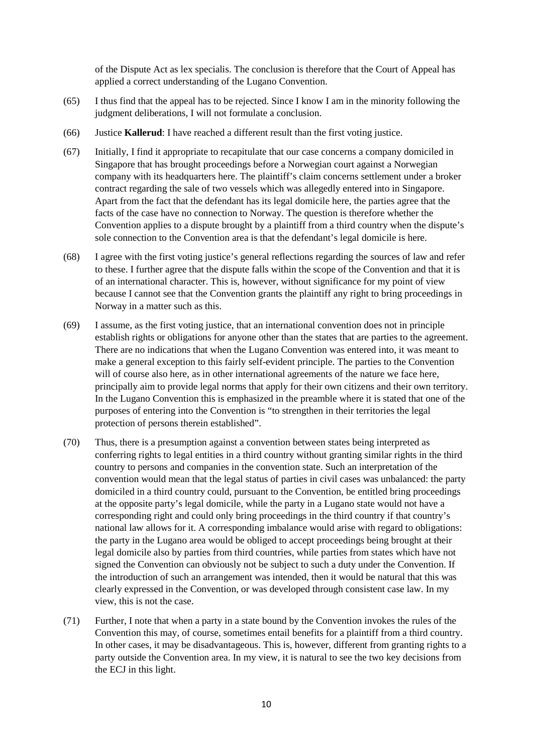of the Dispute Act as lex specialis. The conclusion is therefore that the Court of Appeal has applied a correct understanding of the Lugano Convention.

- (65) I thus find that the appeal has to be rejected. Since I know I am in the minority following the judgment deliberations, I will not formulate a conclusion.
- (66) Justice **Kallerud**: I have reached a different result than the first voting justice.
- (67) Initially, I find it appropriate to recapitulate that our case concerns a company domiciled in Singapore that has brought proceedings before a Norwegian court against a Norwegian company with its headquarters here. The plaintiff's claim concerns settlement under a broker contract regarding the sale of two vessels which was allegedly entered into in Singapore. Apart from the fact that the defendant has its legal domicile here, the parties agree that the facts of the case have no connection to Norway. The question is therefore whether the Convention applies to a dispute brought by a plaintiff from a third country when the dispute's sole connection to the Convention area is that the defendant's legal domicile is here.
- (68) I agree with the first voting justice's general reflections regarding the sources of law and refer to these. I further agree that the dispute falls within the scope of the Convention and that it is of an international character. This is, however, without significance for my point of view because I cannot see that the Convention grants the plaintiff any right to bring proceedings in Norway in a matter such as this.
- (69) I assume, as the first voting justice, that an international convention does not in principle establish rights or obligations for anyone other than the states that are parties to the agreement. There are no indications that when the Lugano Convention was entered into, it was meant to make a general exception to this fairly self-evident principle. The parties to the Convention will of course also here, as in other international agreements of the nature we face here, principally aim to provide legal norms that apply for their own citizens and their own territory. In the Lugano Convention this is emphasized in the preamble where it is stated that one of the purposes of entering into the Convention is "to strengthen in their territories the legal protection of persons therein established".
- (70) Thus, there is a presumption against a convention between states being interpreted as conferring rights to legal entities in a third country without granting similar rights in the third country to persons and companies in the convention state. Such an interpretation of the convention would mean that the legal status of parties in civil cases was unbalanced: the party domiciled in a third country could, pursuant to the Convention, be entitled bring proceedings at the opposite party's legal domicile, while the party in a Lugano state would not have a corresponding right and could only bring proceedings in the third country if that country's national law allows for it. A corresponding imbalance would arise with regard to obligations: the party in the Lugano area would be obliged to accept proceedings being brought at their legal domicile also by parties from third countries, while parties from states which have not signed the Convention can obviously not be subject to such a duty under the Convention. If the introduction of such an arrangement was intended, then it would be natural that this was clearly expressed in the Convention, or was developed through consistent case law. In my view, this is not the case.
- (71) Further, I note that when a party in a state bound by the Convention invokes the rules of the Convention this may, of course, sometimes entail benefits for a plaintiff from a third country. In other cases, it may be disadvantageous. This is, however, different from granting rights to a party outside the Convention area. In my view, it is natural to see the two key decisions from the ECJ in this light.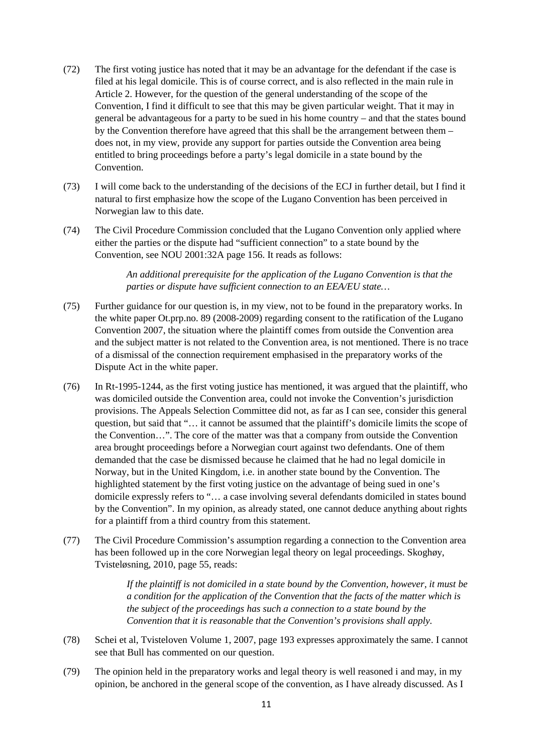- (72) The first voting justice has noted that it may be an advantage for the defendant if the case is filed at his legal domicile. This is of course correct, and is also reflected in the main rule in Article 2. However, for the question of the general understanding of the scope of the Convention, I find it difficult to see that this may be given particular weight. That it may in general be advantageous for a party to be sued in his home country – and that the states bound by the Convention therefore have agreed that this shall be the arrangement between them – does not, in my view, provide any support for parties outside the Convention area being entitled to bring proceedings before a party's legal domicile in a state bound by the Convention.
- (73) I will come back to the understanding of the decisions of the ECJ in further detail, but I find it natural to first emphasize how the scope of the Lugano Convention has been perceived in Norwegian law to this date.
- (74) The Civil Procedure Commission concluded that the Lugano Convention only applied where either the parties or the dispute had "sufficient connection" to a state bound by the Convention, see NOU 2001:32A page 156. It reads as follows:

*An additional prerequisite for the application of the Lugano Convention is that the parties or dispute have sufficient connection to an EEA/EU state…* 

- (75) Further guidance for our question is, in my view, not to be found in the preparatory works. In the white paper Ot.prp.no. 89 (2008-2009) regarding consent to the ratification of the Lugano Convention 2007, the situation where the plaintiff comes from outside the Convention area and the subject matter is not related to the Convention area, is not mentioned. There is no trace of a dismissal of the connection requirement emphasised in the preparatory works of the Dispute Act in the white paper.
- (76) In Rt-1995-1244, as the first voting justice has mentioned, it was argued that the plaintiff, who was domiciled outside the Convention area, could not invoke the Convention's jurisdiction provisions. The Appeals Selection Committee did not, as far as I can see, consider this general question, but said that "… it cannot be assumed that the plaintiff's domicile limits the scope of the Convention…". The core of the matter was that a company from outside the Convention area brought proceedings before a Norwegian court against two defendants. One of them demanded that the case be dismissed because he claimed that he had no legal domicile in Norway, but in the United Kingdom, i.e. in another state bound by the Convention. The highlighted statement by the first voting justice on the advantage of being sued in one's domicile expressly refers to "… a case involving several defendants domiciled in states bound by the Convention". In my opinion, as already stated, one cannot deduce anything about rights for a plaintiff from a third country from this statement.
- (77) The Civil Procedure Commission's assumption regarding a connection to the Convention area has been followed up in the core Norwegian legal theory on legal proceedings. Skoghøy, Tvisteløsning, 2010, page 55, reads:

*If the plaintiff is not domiciled in a state bound by the Convention, however, it must be a condition for the application of the Convention that the facts of the matter which is the subject of the proceedings has such a connection to a state bound by the Convention that it is reasonable that the Convention's provisions shall apply.* 

- (78) Schei et al, Tvisteloven Volume 1, 2007, page 193 expresses approximately the same. I cannot see that Bull has commented on our question.
- (79) The opinion held in the preparatory works and legal theory is well reasoned i and may, in my opinion, be anchored in the general scope of the convention, as I have already discussed. As I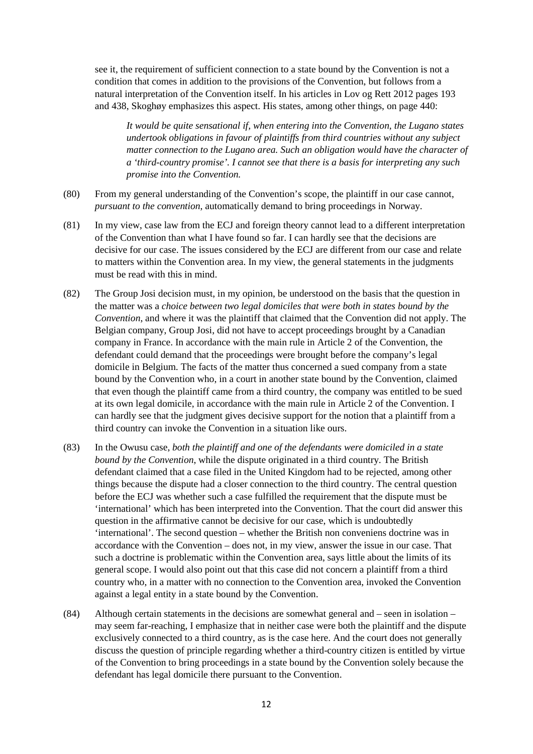see it, the requirement of sufficient connection to a state bound by the Convention is not a condition that comes in addition to the provisions of the Convention, but follows from a natural interpretation of the Convention itself. In his articles in Lov og Rett 2012 pages 193 and 438, Skoghøy emphasizes this aspect. His states, among other things, on page 440:

*It would be quite sensational if, when entering into the Convention, the Lugano states undertook obligations in favour of plaintiffs from third countries without any subject matter connection to the Lugano area. Such an obligation would have the character of a 'third-country promise'. I cannot see that there is a basis for interpreting any such promise into the Convention.* 

- (80) From my general understanding of the Convention's scope, the plaintiff in our case cannot, *pursuant to the convention*, automatically demand to bring proceedings in Norway.
- (81) In my view, case law from the ECJ and foreign theory cannot lead to a different interpretation of the Convention than what I have found so far. I can hardly see that the decisions are decisive for our case. The issues considered by the ECJ are different from our case and relate to matters within the Convention area. In my view, the general statements in the judgments must be read with this in mind.
- (82) The Group Josi decision must, in my opinion, be understood on the basis that the question in the matter was a *choice between two legal domiciles that were both in states bound by the Convention*, and where it was the plaintiff that claimed that the Convention did not apply. The Belgian company, Group Josi, did not have to accept proceedings brought by a Canadian company in France. In accordance with the main rule in Article 2 of the Convention, the defendant could demand that the proceedings were brought before the company's legal domicile in Belgium. The facts of the matter thus concerned a sued company from a state bound by the Convention who, in a court in another state bound by the Convention, claimed that even though the plaintiff came from a third country, the company was entitled to be sued at its own legal domicile, in accordance with the main rule in Article 2 of the Convention. I can hardly see that the judgment gives decisive support for the notion that a plaintiff from a third country can invoke the Convention in a situation like ours.
- (83) In the Owusu case, *both the plaintiff and one of the defendants were domiciled in a state bound by the Convention*, while the dispute originated in a third country. The British defendant claimed that a case filed in the United Kingdom had to be rejected, among other things because the dispute had a closer connection to the third country. The central question before the ECJ was whether such a case fulfilled the requirement that the dispute must be 'international' which has been interpreted into the Convention. That the court did answer this question in the affirmative cannot be decisive for our case, which is undoubtedly 'international'. The second question – whether the British non conveniens doctrine was in accordance with the Convention – does not, in my view, answer the issue in our case. That such a doctrine is problematic within the Convention area, says little about the limits of its general scope. I would also point out that this case did not concern a plaintiff from a third country who, in a matter with no connection to the Convention area, invoked the Convention against a legal entity in a state bound by the Convention.
- (84) Although certain statements in the decisions are somewhat general and seen in isolation may seem far-reaching, I emphasize that in neither case were both the plaintiff and the dispute exclusively connected to a third country, as is the case here. And the court does not generally discuss the question of principle regarding whether a third-country citizen is entitled by virtue of the Convention to bring proceedings in a state bound by the Convention solely because the defendant has legal domicile there pursuant to the Convention.